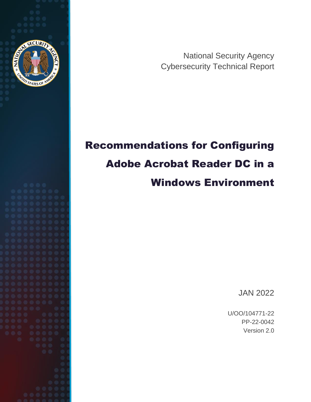

National Security Agency Cybersecurity Technical Report

# Recommendations for Configuring Adobe Acrobat Reader DC in a Windows Environment

JAN 2022

U/OO/104771-22 PP-22-0042 Version 2.0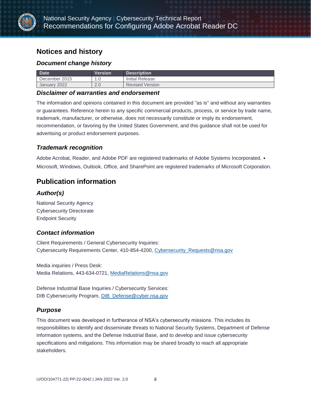

### **Notices and history**

#### *Document change history*

| <b>Date</b>     | Version         | <b>Description</b>     |
|-----------------|-----------------|------------------------|
| December 2015   | ں .             | Initial Release        |
| 2022<br>January | $\Omega$<br>Z.U | <b>Revised Version</b> |

#### *Disclaimer of warranties and endorsement*

The information and opinions contained in this document are provided "as is" and without any warranties or guarantees. Reference herein to any specific commercial products, process, or service by trade name, trademark, manufacturer, or otherwise, does not necessarily constitute or imply its endorsement, recommendation, or favoring by the United States Government, and this guidance shall not be used for advertising or product endorsement purposes.

#### *Trademark recognition*

Adobe Acrobat, Reader, and Adobe PDF are registered trademarks of Adobe Systems Incorporated. • Microsoft, Windows, Outlook, Office, and SharePoint are registered trademarks of Microsoft Corporation.

### **Publication information**

#### *Author(s)*

National Security Agency Cybersecurity Directorate Endpoint Security

#### *Contact information*

Client Requirements / General Cybersecurity Inquiries: Cybersecurity Requirements Center, 410-854-4200, [Cybersecurity\\_Requests@nsa.gov](mailto:Cybersecurity_Requests@nsa.gov)

Media inquiries / Press Desk: Media Relations, 443-634-0721, [MediaRelations@nsa.gov](mailto:MediaRelations@nsa.gov)

Defense Industrial Base Inquiries / Cybersecurity Services: DIB Cybersecurity Program, **DIB\_Defense@cyber.nsa.gov** 

#### *Purpose*

This document was developed in furtherance of NSA's cybersecurity missions. This includes its responsibilities to identify and disseminate threats to National Security Systems, Department of Defense information systems, and the Defense Industrial Base, and to develop and issue cybersecurity specifications and mitigations. This information may be shared broadly to reach all appropriate stakeholders.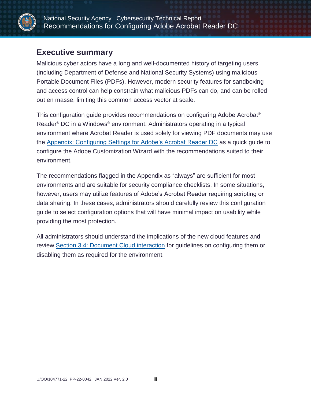

### <span id="page-2-0"></span>**Executive summary**

Malicious cyber actors have a long and well-documented history of targeting users (including Department of Defense and National Security Systems) using malicious Portable Document Files (PDFs). However, modern security features for sandboxing and access control can help constrain what malicious PDFs can do, and can be rolled out en masse, limiting this common access vector at scale.

This configuration guide provides recommendations on configuring Adobe Acrobat® Reader® DC in a Windows® environment. Administrators operating in a typical environment where Acrobat Reader is used solely for viewing PDF documents may use the [Appendix: Configuring Settings for Adobe's Acrobat Reader DC](#page-18-0) as a quick guide to configure the Adobe Customization Wizard with the recommendations suited to their environment.

The recommendations flagged in the Appendix as "always" are sufficient for most environments and are suitable for security compliance checklists. In some situations, however, users may utilize features of Adobe's Acrobat Reader requiring scripting or data sharing. In these cases, administrators should carefully review this configuration guide to select configuration options that will have minimal impact on usability while providing the most protection.

All administrators should understand the implications of the new cloud features and review [Section 3.4: Document Cloud interaction](#page-14-0) for guidelines on configuring them or disabling them as required for the environment.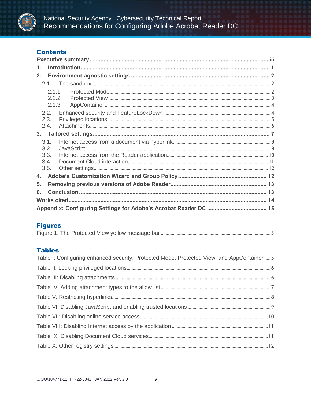

### **Contents**

| 1.     |  |
|--------|--|
| 2.     |  |
|        |  |
| 2.1.1. |  |
| 2.1.2. |  |
| 2.1.3. |  |
| 2.2.   |  |
| 2.3.   |  |
| 2.4.   |  |
|        |  |
| 3.1.   |  |
| 3.2.   |  |
| 3.3.   |  |
| 3.4.   |  |
| 3.5.   |  |
| 4.     |  |
| 5.     |  |
| 6.     |  |
|        |  |
|        |  |

#### **Figures**

#### **Tables**

| Table I: Configuring enhanced security, Protected Mode, Protected View, and AppContainer  5 |  |
|---------------------------------------------------------------------------------------------|--|
|                                                                                             |  |
|                                                                                             |  |
|                                                                                             |  |
|                                                                                             |  |
|                                                                                             |  |
|                                                                                             |  |
|                                                                                             |  |
|                                                                                             |  |
|                                                                                             |  |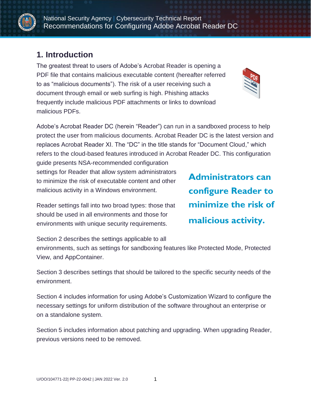

National Security Agency | Cybersecurity Technical Report Recommendations for Configuring Adobe Acrobat Reader DC

### <span id="page-4-0"></span>**1. Introduction**

The greatest threat to users of Adobe's Acrobat Reader is opening a PDF file that contains malicious executable content (hereafter referred to as "malicious documents"). The risk of a user receiving such a document through email or web surfing is high. Phishing attacks frequently include malicious PDF attachments or links to download malicious PDFs.



Adobe's Acrobat Reader DC (herein "Reader") can run in a sandboxed process to help protect the user from malicious documents. Acrobat Reader DC is the latest version and replaces Acrobat Reader XI. The "DC" in the title stands for "Document Cloud," which refers to the cloud-based features introduced in Acrobat Reader DC. This configuration

guide presents NSA-recommended configuration settings for Reader that allow system administrators to minimize the risk of executable content and other malicious activity in a Windows environment.

Reader settings fall into two broad types: those that should be used in all environments and those for environments with unique security requirements.

Section 2 describes the settings applicable to all

environments, such as settings for sandboxing features like Protected Mode, Protected View, and AppContainer.

Section 3 describes settings that should be tailored to the specific security needs of the environment.

Section 4 includes information for using Adobe's Customization Wizard to configure the necessary settings for uniform distribution of the software throughout an enterprise or on a standalone system.

Section 5 includes information about patching and upgrading. When upgrading Reader, previous versions need to be removed.

**Administrators can configure Reader to minimize the risk of malicious activity.**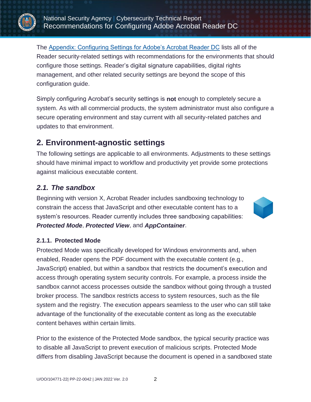

The [Appendix: Configuring Settings for Adobe's Acrobat Reader DC](#page-18-0) lists all of the Reader security-related settings with recommendations for the environments that should configure those settings. Reader's digital signature capabilities, digital rights management, and other related security settings are beyond the scope of this configuration guide.

Simply configuring Acrobat's security settings is **not** enough to completely secure a system. As with all commercial products, the system administrator must also configure a secure operating environment and stay current with all security-related patches and updates to that environment.

### <span id="page-5-0"></span>**2. Environment-agnostic settings**

The following settings are applicable to all environments. Adjustments to these settings should have minimal impact to workflow and productivity yet provide some protections against malicious executable content.

### <span id="page-5-1"></span>*2.1. The sandbox*

Beginning with version X, Acrobat Reader includes sandboxing technology to constrain the access that JavaScript and other executable content has to a system's resources. Reader currently includes three sandboxing capabilities: *Protected Mode*, *Protected View*, and *AppContainer*.



### <span id="page-5-2"></span>**2.1.1. Protected Mode**

Protected Mode was specifically developed for Windows environments and, when enabled, Reader opens the PDF document with the executable content (e.g., JavaScript) enabled, but within a sandbox that restricts the document's execution and access through operating system security controls. For example, a process inside the sandbox cannot access processes outside the sandbox without going through a trusted broker process. The sandbox restricts access to system resources, such as the file system and the registry. The execution appears seamless to the user who can still take advantage of the functionality of the executable content as long as the executable content behaves within certain limits.

Prior to the existence of the Protected Mode sandbox, the typical security practice was to disable all JavaScript to prevent execution of malicious scripts. Protected Mode differs from disabling JavaScript because the document is opened in a sandboxed state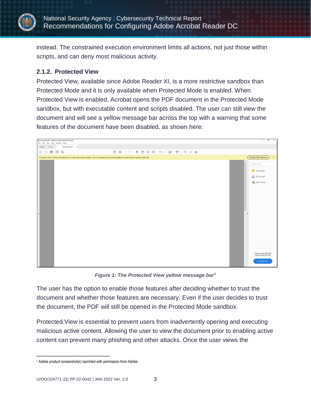

instead. The constrained execution environment limits all actions, not just those within scripts, and can deny most malicious activity.

#### <span id="page-6-0"></span>**2.1.2. Protected View**

Protected View, available since Adobe Reader XI, is a more restrictive sandbox than Protected Mode and it is only available when Protected Mode is enabled. When Protected View is enabled, Acrobat opens the PDF document in the Protected Mode sandbox, but with executable content and scripts disabled. The user can still view the document and will see a yellow message bar across the top with a warning that some features of the document have been disabled, as shown here:



*Figure 1: The Protected View yellow message bar<sup>1</sup>*

<span id="page-6-1"></span>The user has the option to enable those features after deciding whether to trust the document and whether those features are necessary. Even if the user decides to trust the document, the PDF will still be opened in the Protected Mode sandbox.

Protected View is essential to prevent users from inadvertently opening and executing malicious active content. Allowing the user to view the document prior to enabling active content can prevent many phishing and other attacks. Once the user views the

 $\overline{a}$ 

<sup>&</sup>lt;sup>1</sup> Adobe product screenshot(s) reprinted with permission from Adobe.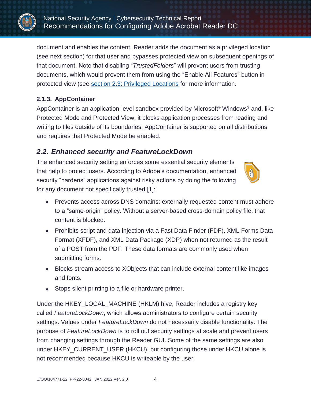

document and enables the content, Reader adds the document as a privileged location (see next section) for that user and bypasses protected view on subsequent openings of that document. Note that disabling "*TrustedFolders*" will prevent users from trusting documents, which would prevent them from using the "Enable All Features" button in protected view (see [section 2.3: Privileged Locations](#page-8-0) for more information.

### <span id="page-7-0"></span>**2.1.3. AppContainer**

AppContainer is an application-level sandbox provided by Microsoft® Windows® and, like Protected Mode and Protected View, it blocks application processes from reading and writing to files outside of its boundaries. AppContainer is supported on all distributions and requires that Protected Mode be enabled.

### <span id="page-7-1"></span>*2.2. Enhanced security and FeatureLockDown*

The enhanced security setting enforces some essential security elements that help to protect users. According to Adobe's documentation, enhanced security "hardens" applications against risky actions by doing the following for any document not specifically trusted [1]:



- Prevents access across DNS domains: externally requested content must adhere to a "same-origin" policy. Without a server-based cross-domain policy file, that content is blocked.
- Prohibits script and data injection via a Fast Data Finder (FDF), XML Forms Data Format (XFDF), and XML Data Package (XDP) when not returned as the result of a POST from the PDF. These data formats are commonly used when submitting forms.
- Blocks stream access to XObjects that can include external content like images and fonts.
- Stops silent printing to a file or hardware printer.

Under the HKEY\_LOCAL\_MACHINE (HKLM) hive, Reader includes a registry key called *FeatureLockDown*, which allows administrators to configure certain security settings. Values under *FeatureLockDown* do not necessarily disable functionality. The purpose of *FeatureLockDown* is to roll out security settings at scale and prevent users from changing settings through the Reader GUI. Some of the same settings are also under HKEY\_CURRENT\_USER (HKCU), but configuring those under HKCU alone is not recommended because HKCU is writeable by the user.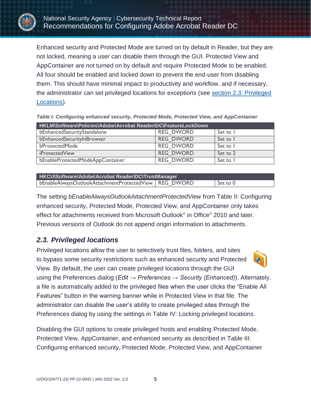

Enhanced security and Protected Mode are turned on by default in Reader, but they are not locked, meaning a user can disable them through the GUI. Protected View and AppContainer are not turned on by default and require Protected Mode to be enabled. All four should be enabled and locked down to prevent the end-user from disabling them. This should have minimal impact to productivity and workflow, and if necessary, the administrator can set privileged locations for exceptions (see [section 2.3: Privileged](#page-8-0)  [Locations\)](#page-8-0).

| HKLM\Software\Policies\Adobe\Acrobat Reader\DC\FeatureLockDown |                  |          |  |  |
|----------------------------------------------------------------|------------------|----------|--|--|
| bEnhancedSecurityStandalone                                    | <b>REG DWORD</b> | Set to I |  |  |
| bEnhancedSecurityInBrowser                                     | <b>REG DWORD</b> | Set to I |  |  |
| bProtectedMode                                                 | <b>REG DWORD</b> | Set to I |  |  |
| iProtectedView                                                 | <b>REG DWORD</b> | Set to 2 |  |  |
| bEnableProtectedModeAppContainer                               | <b>REG DWORD</b> | Set to I |  |  |

<span id="page-8-1"></span>*Table I: Configuring enhanced security, Protected Mode, Protected View, and AppContainer*

**HKCU\Software\Adobe\Acrobat Reader\DC\TrustManager** bEnableAlwaysOutlookAttachmentProtectedView REG\_DWORD | Set to 0

The setting *bEnableAlwaysOutlookAttachmentProtectedView* from Table II: Configuring enhanced security, Protected Mode, Protected View, and AppContainer only takes effect for attachments received from Microsoft Outlook® in Office® 2010 and later. Previous versions of Outlook do not append origin information to attachments.

### <span id="page-8-0"></span>*2.3. Privileged locations*

Privileged locations allow the user to selectively trust files, folders, and sites to bypass some security restrictions such as enhanced security and Protected View. By default, the user can create privileged locations through the GUI using the Preferences dialog (*Edit → Preferences → Security (Enhanced)*). Alternately, a file is automatically added to the privileged files when the user clicks the "Enable All Features" button in the warning banner while in Protected View in that file. The administrator can disable the user's ability to create privileged sites through the Preferences dialog by using the settings in [Table IV:](#page-9-1) Locking privileged locations.

Disabling the GUI options to create privileged hosts and enabling Protected Mode, Protected View, AppContainer, and enhanced security as described in Table III: Configuring enhanced security, Protected Mode, Protected View, and AppContainer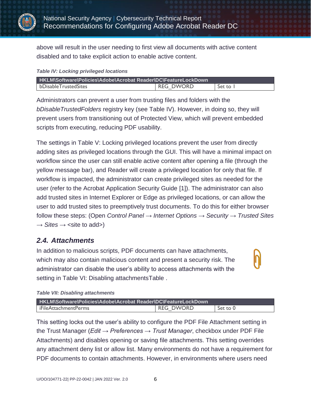

above will result in the user needing to first view all documents with active content disabled and to take explicit action to enable active content.

#### <span id="page-9-1"></span>*Table IV: Locking privileged locations*

| HKLM\Software\Policies\Adobe\Acrobat Reader\DC\FeatureLockDown |                  |          |  |
|----------------------------------------------------------------|------------------|----------|--|
| bDisableTrustedSites                                           | <b>REG DWORD</b> | Set to I |  |

Administrators can prevent a user from trusting files and folders with the *bDisableTrustedFolders* registry key (see [Table IV\)](#page-9-1). However, in doing so, they will prevent users from transitioning out of Protected View, which will prevent embedded scripts from executing, reducing PDF usability.

The settings in Table V: Locking privileged locations prevent the user from directly adding sites as privileged locations through the GUI. This will have a minimal impact on workflow since the user can still enable active content after opening a file (through the yellow message bar), and Reader will create a privileged location for only that file. If workflow is impacted, the administrator can create privileged sites as needed for the user (refer to the Acrobat Application Security Guide [1]). The administrator can also add trusted sites in Internet Explorer or Edge as privileged locations, or can allow the user to add trusted sites to preemptively trust documents. To do this for either browser follow these steps: (Open *Control Panel* → *Internet Options* → *Security* → *Trusted Sites*  $\rightarrow$  *Sites*  $\rightarrow$  <site to add>)

### <span id="page-9-0"></span>*2.4. Attachments*

In addition to malicious scripts, PDF documents can have attachments, which may also contain malicious content and present a security risk. The administrator can disable the user's ability to access attachments with the setting in Table VI: Disabling attachmentsTable.

#### <span id="page-9-2"></span>*Table VII: Disabling attachments*

| HKLM\Software\Policies\Adobe\Acrobat Reader\DC\FeatureLockDown |           |          |  |
|----------------------------------------------------------------|-----------|----------|--|
| iFileAttachmentPerms                                           | REG DWORD | Set to 0 |  |

This setting locks out the user's ability to configure the PDF File Attachment setting in the Trust Manager (*Edit → Preferences → Trust Manager*, checkbox under PDF File Attachments) and disables opening or saving file attachments. This setting overrides any attachment deny list or allow list. Many environments do not have a requirement for PDF documents to contain attachments. However, in environments where users need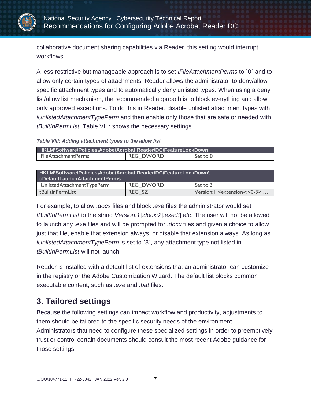

collaborative document sharing capabilities via Reader, this setting would interrupt workflows.

A less restrictive but manageable approach is to set *iFileAttachmentPerms* to `0` and to allow only certain types of attachments. Reader allows the administrator to deny/allow specific attachment types and to automatically deny unlisted types. When using a deny list/allow list mechanism, the recommended approach is to block everything and allow only approved exceptions. To do this in Reader, disable unlisted attachment types with *iUnlistedAttachmentTypePerm* and then enable only those that are safe or needed with *tBuiltInPermList*. [Table VIII:](#page-10-1) shows the necessary settings.

#### <span id="page-10-1"></span>*Table VIII: Adding attachment types to the allow list*

| HKLM\Software\Policies\Adobe\Acrobat Reader\DC\FeatureLockDown |                  |          |  |
|----------------------------------------------------------------|------------------|----------|--|
| iFileAttachmentPerms                                           | <b>REG DWORD</b> | Set to 0 |  |

| HKLM\Software\Policies\Adobe\Acrobat Reader\DC\FeatureLockDown\<br>cDefaultLaunchAttachmentPerms |                  |          |  |  |
|--------------------------------------------------------------------------------------------------|------------------|----------|--|--|
| iUnlistedAttachmentTypePerm                                                                      | <b>REG DWORD</b> | Set to 3 |  |  |
| tBuiltInPermList<br>Version: I   <extension>: &lt; 0-3&gt; <br/>REG SZ</extension>               |                  |          |  |  |

For example, to allow *.docx* files and block *.exe* files the administrator would set *tBuiltInPermList* to the string *Version:1|.docx:2|.exe:3| etc*. The user will not be allowed to launch any .exe files and will be prompted for .*docx* files and given a choice to allow just that file, enable that extension always, or disable that extension always. As long as *iUnlistedAttachmentTypePerm* is set to `3`, any attachment type not listed in *tBuiltInPermList* will not launch.

Reader is installed with a default list of extensions that an administrator can customize in the registry or the Adobe Customization Wizard. The default list blocks common executable content, such as *.exe* and *.bat* files.

### <span id="page-10-0"></span>**3. Tailored settings**

Because the following settings can impact workflow and productivity, adjustments to them should be tailored to the specific security needs of the environment. Administrators that need to configure these specialized settings in order to preemptively trust or control certain documents should consult the most recent Adobe guidance for those settings.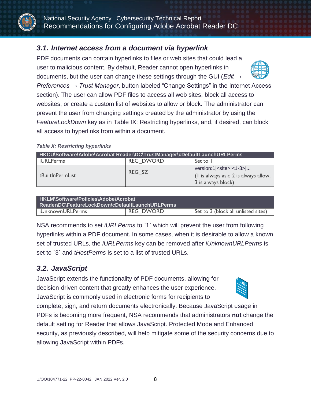

### <span id="page-11-0"></span>*3.1. Internet access from a document via hyperlink*

PDF documents can contain hyperlinks to files or web sites that could lead a user to malicious content. By default, Reader cannot open hyperlinks in documents, but the user can change these settings through the GUI (*Edit →* 



*Preferences → Trust Manager*, button labeled "Change Settings" in the Internet Access section). The user can allow PDF files to access all web sites, block all access to websites, or create a custom list of websites to allow or block. The administrator can prevent the user from changing settings created by the administrator by using the *FeatureLockDown* key as in Table IX: Restricting hyperlinks, and, if desired, can block all access to hyperlinks from within a document.

#### <span id="page-11-2"></span>*Table X: Restricting hyperlinks*

| HKCU\Software\Adobe\Acrobat Reader\DC\TrustManager\cDefaultLaunchURLPerms |                  |                                                                                                                     |  |
|---------------------------------------------------------------------------|------------------|---------------------------------------------------------------------------------------------------------------------|--|
| iURLPerms                                                                 | <b>REG DWORD</b> | Set to 1                                                                                                            |  |
| tBuiltInPermList                                                          | REG SZ           | version: $1$   $\le$ site $>$ : $\lt$ $1$ - $3$ $>$  <br>(I is always ask; 2 is always allow,<br>3 is always block) |  |

| HKLM\Software\Policies\Adobe\Acrobat<br>Reader\DC\FeatureLockDown\cDefaultLaunchURLPerms |  |  |  |
|------------------------------------------------------------------------------------------|--|--|--|
| <b>REG DWORD</b><br>Set to 3 (block all unlisted sites)<br>iUnknownURLPerms              |  |  |  |

NSA recommends to set *iURLPerms* to `1` which will prevent the user from following hyperlinks within a PDF document. In some cases, when it is desirable to allow a known set of trusted URLs, the *iURLPerms* key can be removed after *iUnknownURLPerms* is set to `3` and *tHostPerms* is set to a list of trusted URLs.

### <span id="page-11-1"></span>*3.2. JavaScript*

JavaScript extends the functionality of PDF documents, allowing for decision-driven content that greatly enhances the user experience. JavaScript is commonly used in electronic forms for recipients to



complete, sign, and return documents electronically. Because JavaScript usage in PDFs is becoming more frequent, NSA recommends that administrators **not** change the default setting for Reader that allows JavaScript. Protected Mode and Enhanced security, as previously described, will help mitigate some of the security concerns due to allowing JavaScript within PDFs.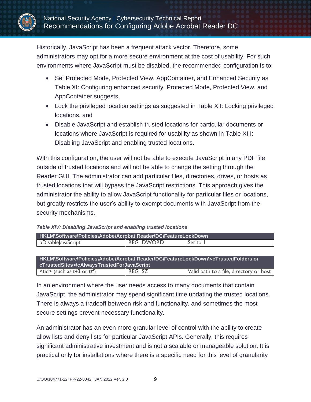

Historically, JavaScript has been a frequent attack vector. Therefore, some administrators may opt for a more secure environment at the cost of usability. For such environments where JavaScript must be disabled, the recommended configuration is to:

- Set Protected Mode, Protected View, AppContainer, and Enhanced Security as Table XI: Configuring enhanced security, Protected Mode, Protected View, and AppContainer suggests,
- Lock the privileged location settings as suggested in Table XII: Locking privileged locations, and
- Disable JavaScript and establish trusted locations for particular documents or locations where JavaScript is required for usability as shown in Table XIII: Disabling JavaScript and enabling trusted locations.

With this configuration, the user will not be able to execute JavaScript in any PDF file outside of trusted locations and will not be able to change the setting through the Reader GUI. The administrator can add particular files, directories, drives, or hosts as trusted locations that will bypass the JavaScript restrictions. This approach gives the administrator the ability to allow JavaScript functionality for particular files or locations, but greatly restricts the user's ability to exempt documents with JavaScript from the security mechanisms.

|                    |  | HKLM\Software\Policies\Adobe\Acrobat Reader\DC\FeatureLockDown |            |
|--------------------|--|----------------------------------------------------------------|------------|
| bDisable avaScript |  | <b>REG DWORD</b>                                               | - Set to T |

<span id="page-12-0"></span>*Table XIV: Disabling JavaScript and enabling trusted locations*

**HKLM\Software\Policies\Adobe\Acrobat Reader\DC\FeatureLockDown\<cTrustedFolders or cTrustedSites>\cAlwaysTrustedForJavaScript**  $\langle \text{tid} \rangle$  (such as t43 or t#)  $\langle REG, SZ \rangle$  Valid path to a file, directory or host

In an environment where the user needs access to many documents that contain JavaScript, the administrator may spend significant time updating the trusted locations. There is always a tradeoff between risk and functionality, and sometimes the most secure settings prevent necessary functionality.

An administrator has an even more granular level of control with the ability to create allow lists and deny lists for particular JavaScript APIs. Generally, this requires significant administrative investment and is not a scalable or manageable solution. It is practical only for installations where there is a specific need for this level of granularity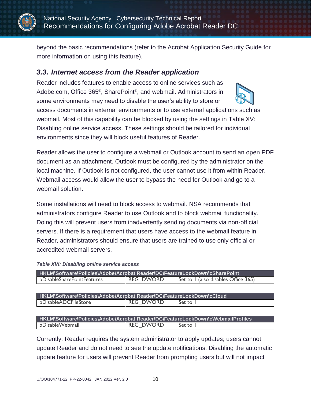

beyond the basic recommendations (refer to the Acrobat Application Security Guide for more information on using this feature).

### <span id="page-13-0"></span>*3.3. Internet access from the Reader application*

Reader includes features to enable access to online services such as Adobe.com, Office 365<sup>®</sup>, SharePoint<sup>®</sup>, and webmail. Administrators in some environments may need to disable the user's ability to store or



Reader allows the user to configure a webmail or Outlook account to send an open PDF document as an attachment. Outlook must be configured by the administrator on the local machine. If Outlook is not configured, the user cannot use it from within Reader. Webmail access would allow the user to bypass the need for Outlook and go to a webmail solution.

Some installations will need to block access to webmail. NSA recommends that administrators configure Reader to use Outlook and to block webmail functionality. Doing this will prevent users from inadvertently sending documents via non-official servers. If there is a requirement that users have access to the webmail feature in Reader, administrators should ensure that users are trained to use only official or accredited webmail servers.

<span id="page-13-1"></span>

| HKLM\Software\Policies\Adobe\Acrobat Reader\DC\FeatureLockDown\cSharePoint |                  |                                     |  |  |  |
|----------------------------------------------------------------------------|------------------|-------------------------------------|--|--|--|
| bDisableSharePointFeatures                                                 | <b>REG DWORD</b> | Set to I (also disables Office 365) |  |  |  |

**HKLM\Software\Policies\Adobe\Acrobat Reader\DC\FeatureLockDown\cCloud** bDisableADCFileStore | REG\_DWORD | Set to 1

**HKLM\Software\Policies\Adobe\Acrobat Reader\DC\FeatureLockDown\cWebmailProfiles** bDisableWebmail REG\_DWORD Set to 1

Currently, Reader requires the system administrator to apply updates; users cannot update Reader and do not need to see the update notifications. Disabling the automatic update feature for users will prevent Reader from prompting users but will not impact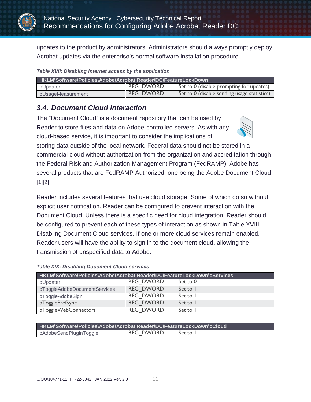

updates to the product by administrators. Administrators should always promptly deploy Acrobat updates via the enterprise's normal software installation procedure.

<span id="page-14-1"></span>

|  |  |  |  |  | Table XVII: Disabling Internet access by the application |
|--|--|--|--|--|----------------------------------------------------------|
|--|--|--|--|--|----------------------------------------------------------|

| HKLM\Software\Policies\Adobe\Acrobat Reader\DC\FeatureLockDown |                  |                                             |  |  |  |
|----------------------------------------------------------------|------------------|---------------------------------------------|--|--|--|
| bUpdater                                                       | REG DWORD        | Set to 0 (disable prompting for updates)    |  |  |  |
| bUsageMeasurement                                              | <b>REG DWORD</b> | Set to 0 (disable sending usage statistics) |  |  |  |

### <span id="page-14-0"></span>*3.4. Document Cloud interaction*

The "Document Cloud" is a document repository that can be used by Reader to store files and data on Adobe-controlled servers. As with any cloud-based service, it is important to consider the implications of



storing data outside of the local network. Federal data should not be stored in a commercial cloud without authorization from the organization and accreditation through the Federal Risk and Authorization Management Program (FedRAMP). Adobe has several products that are FedRAMP Authorized, one being the Adobe Document Cloud  $[1][2]$ .

Reader includes several features that use cloud storage. Some of which do so without explicit user notification. Reader can be configured to prevent interaction with the Document Cloud. Unless there is a specific need for cloud integration, Reader should be configured to prevent each of these types of interaction as shown in Table XVIII: Disabling Document Cloud services. If one or more cloud services remain enabled, Reader users will have the ability to sign in to the document cloud, allowing the transmission of unspecified data to Adobe.

| HKLM\Software\Policies\Adobe\Acrobat Reader\DC\FeatureLockDown\cServices |                  |          |  |  |  |
|--------------------------------------------------------------------------|------------------|----------|--|--|--|
| bUpdater                                                                 | <b>REG DWORD</b> | Set to 0 |  |  |  |
| bToggleAdobeDocumentServices                                             | <b>REG DWORD</b> | Set to 1 |  |  |  |
| bToggleAdobeSign                                                         | <b>REG DWORD</b> | Set to 1 |  |  |  |
| bTogglePrefSync                                                          | <b>REG DWORD</b> | Set to 1 |  |  |  |
| bToggleWebConnectors                                                     | <b>REG DWORD</b> | Set to I |  |  |  |

#### <span id="page-14-2"></span>*Table XIX: Disabling Document Cloud services*

| HKLM\Software\Policies\Adobe\Acrobat Reader\DC\FeatureLockDown\cCloud |           |          |  |  |
|-----------------------------------------------------------------------|-----------|----------|--|--|
| bAdobeSendPluginToggle                                                | REG DWORD | Set to I |  |  |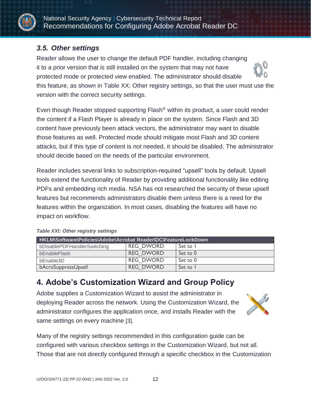

### <span id="page-15-0"></span>*3.5. Other settings*

Reader allows the user to change the default PDF handler, including changing it to a prior version that is still installed on the system that may not have protected mode or protected view enabled. The administrator should disable this feature, as shown in Table XX: Other registry settings, so that the user must use the version with the correct security settings.

Even though Reader stopped supporting Flash® within its product, a user could render the content if a Flash Player is already in place on the system. Since Flash and 3D content have previously been attack vectors, the administrator may want to disable those features as well. Protected mode should mitigate most Flash and 3D content attacks, but if this type of content is not needed, it should be disabled. The administrator should decide based on the needs of the particular environment.

Reader includes several links to subscription-required "upsell" tools by default. Upsell tools extend the functionality of Reader by providing additional functionality like editing PDFs and embedding rich media. NSA has not researched the security of these upsell features but recommends administrators disable them unless there is a need for the features within the organization. In most cases, disabling the features will have no impact on workflow.

| <b>HKLM\Software\Policies\Adobe\Acrobat Reader\DC\FeatureLockDown</b> |                  |          |  |  |  |
|-----------------------------------------------------------------------|------------------|----------|--|--|--|
| bDisablePDFHandlerSwitching                                           | <b>REG DWORD</b> | Set to 1 |  |  |  |
| bEnableFlash                                                          | <b>REG DWORD</b> | Set to 0 |  |  |  |
| bEnable3D                                                             | <b>REG DWORD</b> | Set to 0 |  |  |  |
| bAcroSuppressUpsell                                                   | <b>REG DWORD</b> | Set to 1 |  |  |  |

#### <span id="page-15-2"></span>*Table XXI: Other registry settings*

## <span id="page-15-1"></span>**4. Adobe's Customization Wizard and Group Policy**

Adobe supplies a Customization Wizard to assist the administrator in deploying Reader across the network. Using the Customization Wizard, the administrator configures the application once, and installs Reader with the same settings on every machine [\[3\]](#page-17-2).



Many of the registry settings recommended in this configuration guide can be configured with various checkbox settings in the Customization Wizard, but not all. Those that are not directly configured through a specific checkbox in the Customization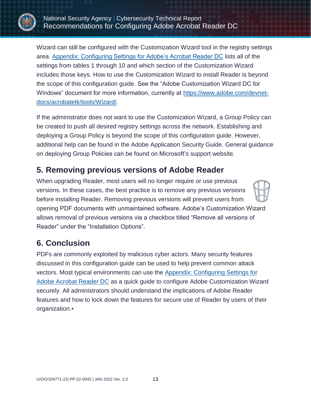

National Security Agency | Cybersecurity Technical Report Recommendations for Configuring Adobe Acrobat Reader DC

Wizard can still be configured with the Customization Wizard tool in the registry settings area. [Appendix: Configuring Settings for Adobe's Acrobat Reader DC](#page-18-0) lists all of the settings from tables 1 through 10 and which section of the Customization Wizard includes those keys. How to use the Customization Wizard to install Reader is beyond the scope of this configuration guide. See the "Adobe Customization Wizard DC for Windows" document for more information, currently at [https://www.adobe.com/devnet](https://www.adobe.com/devnet-docs/acrobatetk/tools/Wizard/)[docs/acrobatetk/tools/Wizard/.](https://www.adobe.com/devnet-docs/acrobatetk/tools/Wizard/)

If the administrator does not want to use the Customization Wizard, a Group Policy can be created to push all desired registry settings across the network. Establishing and deploying a Group Policy is beyond the scope of this configuration guide. However, additional help can be found in the Adobe Application Security Guide. General guidance on deploying Group Policies can be found on Microsoft's support website.

### <span id="page-16-0"></span>**5. Removing previous versions of Adobe Reader**

When upgrading Reader, most users will no longer require or use previous versions. In these cases, the best practice is to remove any previous versions before installing Reader. Removing previous versions will prevent users from opening PDF documents with unmaintained software. Adobe's Customization Wizard allows removal of previous versions via a checkbox titled "Remove all versions of Reader" under the "Installation Options".

### <span id="page-16-1"></span>**6. Conclusion**

PDFs are commonly exploited by malicious cyber actors. Many security features discussed in this configuration guide can be used to help prevent common attack vectors. Most typical environments can use the [Appendix: Configuring Settings for](#page-18-0)  [Adobe Acrobat Reader DC](#page-18-0) as a quick guide to configure Adobe Customization Wizard securely. All administrators should understand the implications of Adobe Reader features and how to lock down the features for secure use of Reader by users of their organization.▪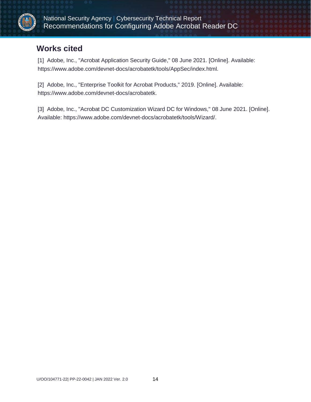

### <span id="page-17-0"></span>**Works cited**

<span id="page-17-1"></span>[1] Adobe, Inc., "Acrobat Application Security Guide," 08 June 2021. [Online]. Available: https://www.adobe.com/devnet-docs/acrobatetk/tools/AppSec/index.html.

[2] Adobe, Inc., "Enterprise Toolkit for Acrobat Products," 2019. [Online]. Available: https://www.adobe.com/devnet-docs/acrobatetk.

<span id="page-17-2"></span>[3] Adobe, Inc., "Acrobat DC Customization Wizard DC for Windows," 08 June 2021. [Online]. Available: https://www.adobe.com/devnet-docs/acrobatetk/tools/Wizard/.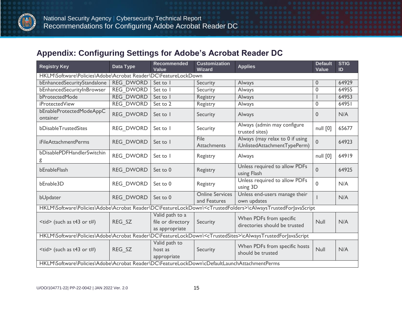

### **Appendix: Configuring Settings for Adobe's Acrobat Reader DC**

<span id="page-18-0"></span>

| <b>Registry Key</b>                                            | Data Type                                                                                    | Recommended<br>Value                                   | <b>Customization</b><br><b>Wizard</b>  | <b>Applies</b>                                                                                                                  | <b>Default</b><br>Value | <b>STIG</b><br>ID |  |  |  |
|----------------------------------------------------------------|----------------------------------------------------------------------------------------------|--------------------------------------------------------|----------------------------------------|---------------------------------------------------------------------------------------------------------------------------------|-------------------------|-------------------|--|--|--|
| HKLM\Software\Policies\Adobe\Acrobat Reader\DC\FeatureLockDown |                                                                                              |                                                        |                                        |                                                                                                                                 |                         |                   |  |  |  |
| bEnhancedSecurityStandalone                                    | <b>REG DWORD</b>                                                                             | Set to I                                               | Security                               | Always                                                                                                                          | 0                       | 64929             |  |  |  |
| bEnhancedSecurityInBrowser                                     | <b>REG DWORD</b>                                                                             | Set to I                                               | Security                               | Always                                                                                                                          | 0                       | 64955             |  |  |  |
| bProtectedMode                                                 | <b>REG DWORD</b>                                                                             | Set to I                                               | Registry                               | Always                                                                                                                          |                         | 64953             |  |  |  |
| <i>iProtectedView</i>                                          | <b>REG DWORD</b>                                                                             | Set to 2                                               | Registry                               | Always                                                                                                                          | 0                       | 64951             |  |  |  |
| bEnableProtectedModeAppC<br>ontainer                           | <b>REG DWORD</b>                                                                             | Set to I                                               | Security                               | Always                                                                                                                          | $\Omega$                | N/A               |  |  |  |
| bDisableTrustedSites                                           | <b>REG DWORD</b>                                                                             | Set to 1                                               | Security                               | Always (admin may configure<br>trusted sites)                                                                                   | null [0]                | 65677             |  |  |  |
| <i>iFileAttachmentPerms</i>                                    | <b>REG DWORD</b>                                                                             | Set to I                                               | File<br>Attachments                    | Always (may relax to 0 if using<br>iUnlistedAttachmentTypePerm)                                                                 | $\mathbf{0}$            | 64923             |  |  |  |
| bDisablePDFHandlerSwitchin<br>g                                | <b>REG DWORD</b>                                                                             | Set to 1                                               | Registry                               | Always                                                                                                                          | null [0]                | 64919             |  |  |  |
| bEnableFlash                                                   | <b>REG DWORD</b>                                                                             | Set to 0                                               | Registry                               | Unless required to allow PDFs<br>using Flash                                                                                    | $\mathbf{0}$            | 64925             |  |  |  |
| bEnable3D                                                      | <b>REG DWORD</b>                                                                             | Set to 0                                               | Registry                               | Unless required to allow PDFs<br>using 3D                                                                                       | 0                       | N/A               |  |  |  |
| bUpdater                                                       | <b>REG DWORD</b>                                                                             | Set to 0                                               | <b>Online Services</b><br>and Features | Unless end-users manage their<br>own updates                                                                                    |                         | N/A               |  |  |  |
|                                                                |                                                                                              |                                                        |                                        | HKLM\Software\Policies\Adobe\Acrobat Reader\DC\FeatureLockDown\ <ctrustedfolders>\cAlwaysTrustedForJavaScript</ctrustedfolders> |                         |                   |  |  |  |
| $<$ tid> (such as t43 or t#)                                   | REG SZ                                                                                       | Valid path to a<br>file or directory<br>as appropriate | Security                               | When PDFs from specific<br>directories should be trusted                                                                        | Null                    | N/A               |  |  |  |
|                                                                |                                                                                              |                                                        |                                        | HKLM\Software\Policies\Adobe\Acrobat Reader\DC\FeatureLockDown\ <ctrustedsites>\cAlwaysTrustedForJavaScript</ctrustedsites>     |                         |                   |  |  |  |
| $<$ tid> (such as t43 or t#)                                   | REG_SZ                                                                                       | Valid path to<br>host as<br>appropriate                | Security                               | When PDFs from specific hosts<br>should be trusted                                                                              | Null                    | N/A               |  |  |  |
|                                                                | HKLM\Software\Policies\Adobe\Acrobat Reader\DC\FeatureLockDown\cDefaultLaunchAttachmentPerms |                                                        |                                        |                                                                                                                                 |                         |                   |  |  |  |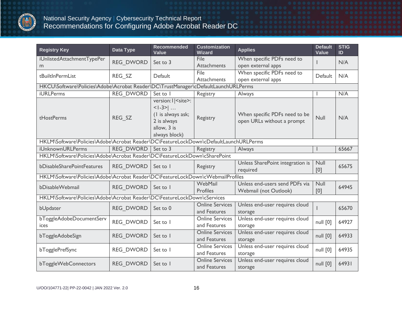

| <b>Registry Key</b>                                                                   | Data Type        | <b>Recommended</b><br><b>Value</b>                                                                   | <b>Customization</b><br>Wizard         | <b>Applies</b>                                              | <b>Default</b><br><b>Value</b> | <b>STIG</b><br>ID |
|---------------------------------------------------------------------------------------|------------------|------------------------------------------------------------------------------------------------------|----------------------------------------|-------------------------------------------------------------|--------------------------------|-------------------|
| iUnlistedAttachmentTypePer<br>m                                                       | <b>REG DWORD</b> | Set to 3                                                                                             | File<br>Attachments                    | When specific PDFs need to<br>open external apps            |                                | N/A               |
| tBuiltlnPermList                                                                      | REG SZ           | Default                                                                                              | File<br>Attachments                    | When specific PDFs need to<br>open external apps            | Default                        | N/A               |
| HKCU\Software\Policies\Adobe\Acrobat Reader\DC\TrustManager\cDefaultLaunchURLPerms    |                  |                                                                                                      |                                        |                                                             |                                |                   |
| <b>iURLPerms</b>                                                                      | <b>REG DWORD</b> | Set to                                                                                               | Registry                               | Always                                                      |                                | N/A               |
| tHostPerms                                                                            | REG SZ           | version: I   < site>:<br>$ 1-3 $<br>(I is always ask;<br>2 is always<br>allow, 3 is<br>always block) | Registry                               | When specific PDFs need to be<br>open URLs without a prompt | <b>Null</b>                    | N/A               |
| HKLM\Software\Policies\Adobe\Acrobat Reader\DC\FeatureLockDown\cDefaultLaunchURLPerms |                  |                                                                                                      |                                        |                                                             |                                |                   |
| <b>iUnknownURLPerms</b>                                                               | <b>REG DWORD</b> | Set to 3                                                                                             | Registry                               | Always                                                      |                                | 65667             |
| HKLM\Software\Policies\Adobe\Acrobat Reader\DC\FeatureLockDown\cSharePoint            |                  |                                                                                                      |                                        |                                                             |                                |                   |
| bDisableSharePointFeatures                                                            | <b>REG DWORD</b> | Set to I                                                                                             | Registry                               | Unless SharePoint integration is<br>required                | Null<br>[0]                    | 65675             |
| HKLM\Software\Policies\Adobe\Acrobat Reader\DC\FeatureLockDown\cWebmailProfiles       |                  |                                                                                                      |                                        |                                                             |                                |                   |
| bDisableWebmail                                                                       | <b>REG DWORD</b> | Set to 1                                                                                             | WebMail<br>Profiles                    | Unless end-users send PDFs via<br>Webmail (not Outlook)     | Null<br>[0]                    | 64945             |
| HKLM\Software\Policies\Adobe\Acrobat Reader\DC\FeatureLockDown\cServices              |                  |                                                                                                      |                                        |                                                             |                                |                   |
| bUpdater                                                                              | <b>REG DWORD</b> | Set to 0                                                                                             | <b>Online Services</b><br>and Features | Unless end-user requires cloud<br>storage                   |                                | 65670             |
| bToggleAdobeDocumentServ<br>ices                                                      | <b>REG DWORD</b> | Set to I                                                                                             | <b>Online Services</b><br>and Features | Unless end-user requires cloud<br>storage                   | null [0]                       | 64927             |
| bToggleAdobeSign                                                                      | <b>REG DWORD</b> | Set to I                                                                                             | <b>Online Services</b><br>and Features | Unless end-user requires cloud<br>storage                   | null [0]                       | 64933             |
| bTogglePrefSync                                                                       | <b>REG DWORD</b> | Set to 1                                                                                             | <b>Online Services</b><br>and Features | Unless end-user requires cloud<br>storage                   | null [0]                       | 64935             |
| bToggleWebConnectors                                                                  | <b>REG DWORD</b> | Set to 1                                                                                             | <b>Online Services</b><br>and Features | Unless end-user requires cloud<br>storage                   | null [0]                       | 64931             |